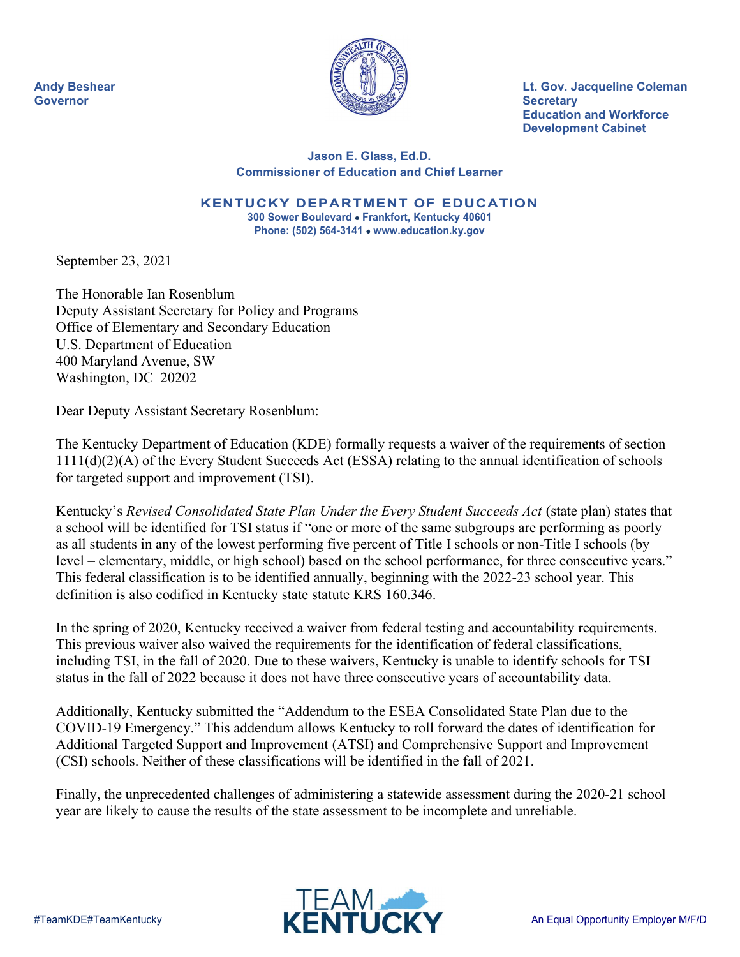

Andy Beshear Lt. Gov. Jacqueline Coleman Education and Workforce Development Cabinet

#### Jason E. Glass, Ed.D. Commissioner of Education and Chief Learner

KENTUCKY DEPARTMENT OF EDUCATION 300 Sower Boulevard • Frankfort, Kentucky 40601

Phone: (502) 564-3141 • www.education.ky.gov

September 23, 2021

The Honorable Ian Rosenblum Deputy Assistant Secretary for Policy and Programs Office of Elementary and Secondary Education U.S. Department of Education 400 Maryland Avenue, SW Washington, DC 20202

Dear Deputy Assistant Secretary Rosenblum:

The Kentucky Department of Education (KDE) formally requests a waiver of the requirements of section 1111(d)(2)(A) of the Every Student Succeeds Act (ESSA) relating to the annual identification of schools for targeted support and improvement (TSI).

Kentucky's Revised Consolidated State Plan Under the Every Student Succeeds Act (state plan) states that a school will be identified for TSI status if "one or more of the same subgroups are performing as poorly as all students in any of the lowest performing five percent of Title I schools or non-Title I schools (by level – elementary, middle, or high school) based on the school performance, for three consecutive years." This federal classification is to be identified annually, beginning with the 2022-23 school year. This definition is also codified in Kentucky state statute KRS 160.346.

In the spring of 2020, Kentucky received a waiver from federal testing and accountability requirements. This previous waiver also waived the requirements for the identification of federal classifications, including TSI, in the fall of 2020. Due to these waivers, Kentucky is unable to identify schools for TSI status in the fall of 2022 because it does not have three consecutive years of accountability data.

Additionally, Kentucky submitted the "Addendum to the ESEA Consolidated State Plan due to the COVID-19 Emergency." This addendum allows Kentucky to roll forward the dates of identification for Additional Targeted Support and Improvement (ATSI) and Comprehensive Support and Improvement (CSI) schools. Neither of these classifications will be identified in the fall of 2021.

Finally, the unprecedented challenges of administering a statewide assessment during the 2020-21 school year are likely to cause the results of the state assessment to be incomplete and unreliable.

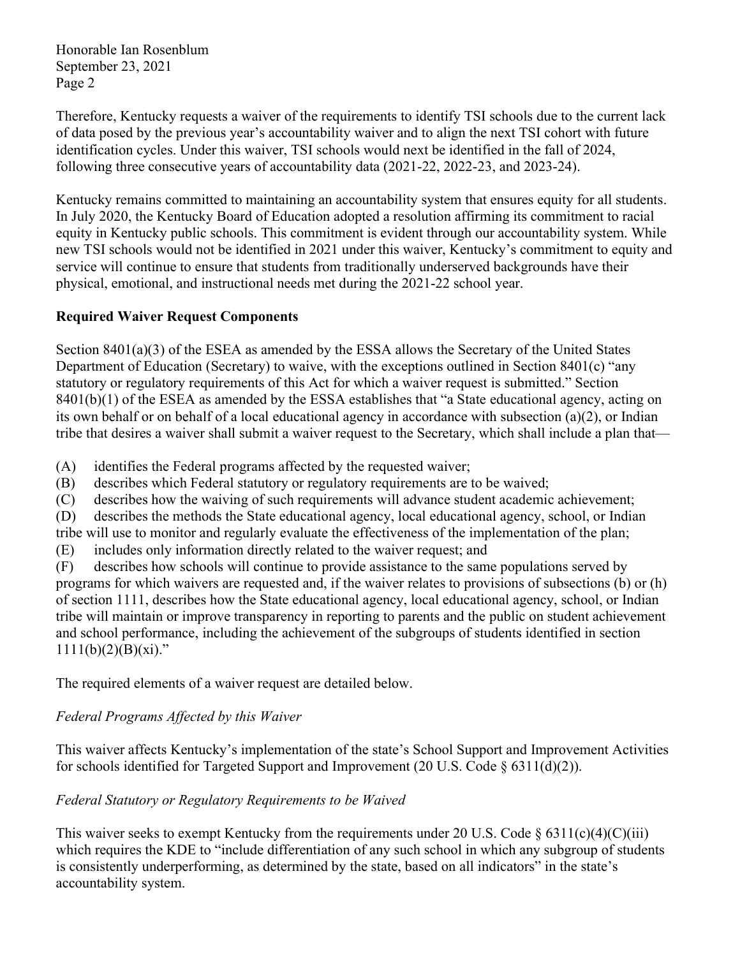Honorable Ian Rosenblum September 23, 2021 Page 2

Therefore, Kentucky requests a waiver of the requirements to identify TSI schools due to the current lack of data posed by the previous year's accountability waiver and to align the next TSI cohort with future identification cycles. Under this waiver, TSI schools would next be identified in the fall of 2024, following three consecutive years of accountability data (2021-22, 2022-23, and 2023-24).

Kentucky remains committed to maintaining an accountability system that ensures equity for all students. In July 2020, the Kentucky Board of Education adopted a resolution affirming its commitment to racial equity in Kentucky public schools. This commitment is evident through our accountability system. While new TSI schools would not be identified in 2021 under this waiver, Kentucky's commitment to equity and service will continue to ensure that students from traditionally underserved backgrounds have their physical, emotional, and instructional needs met during the 2021-22 school year.

## Required Waiver Request Components

Section 8401(a)(3) of the ESEA as amended by the ESSA allows the Secretary of the United States Department of Education (Secretary) to waive, with the exceptions outlined in Section 8401(c) "any statutory or regulatory requirements of this Act for which a waiver request is submitted." Section 8401(b)(1) of the ESEA as amended by the ESSA establishes that "a State educational agency, acting on its own behalf or on behalf of a local educational agency in accordance with subsection (a)(2), or Indian tribe that desires a waiver shall submit a waiver request to the Secretary, which shall include a plan that—

(A) identifies the Federal programs affected by the requested waiver;

- (B) describes which Federal statutory or regulatory requirements are to be waived;
- (C) describes how the waiving of such requirements will advance student academic achievement;

(D) describes the methods the State educational agency, local educational agency, school, or Indian tribe will use to monitor and regularly evaluate the effectiveness of the implementation of the plan;

(E) includes only information directly related to the waiver request; and

(F) describes how schools will continue to provide assistance to the same populations served by programs for which waivers are requested and, if the waiver relates to provisions of subsections (b) or (h) of section 1111, describes how the State educational agency, local educational agency, school, or Indian tribe will maintain or improve transparency in reporting to parents and the public on student achievement and school performance, including the achievement of the subgroups of students identified in section  $1111(b)(2)(B)(xi)$ ."

The required elements of a waiver request are detailed below.

## Federal Programs Affected by this Waiver

This waiver affects Kentucky's implementation of the state's School Support and Improvement Activities for schools identified for Targeted Support and Improvement (20 U.S. Code  $\S 6311(d)(2)$ ).

## Federal Statutory or Regulatory Requirements to be Waived

This waiver seeks to exempt Kentucky from the requirements under 20 U.S. Code  $\S 6311(c)(4)(C)(iii)$ which requires the KDE to "include differentiation of any such school in which any subgroup of students is consistently underperforming, as determined by the state, based on all indicators" in the state's accountability system.